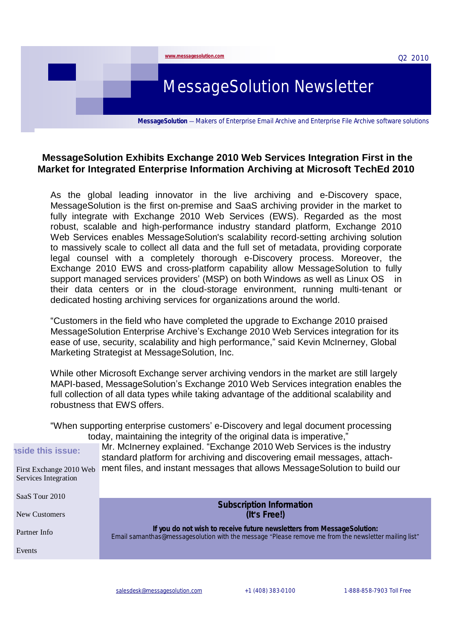

# **MessageSolution Exhibits Exchange 2010 Web Services Integration First in the Market for Integrated Enterprise Information Archiving at Microsoft TechEd 2010**

As the global leading innovator in the live archiving and e-Discovery space, MessageSolution is the first on-premise and SaaS archiving provider in the market to fully integrate with Exchange 2010 Web Services (EWS). Regarded as the most robust, scalable and high-performance industry standard platform, Exchange 2010 Web Services enables MessageSolution's scalability record-setting archiving solution to massively scale to collect all data and the full set of metadata, providing corporate legal counsel with a completely thorough e-Discovery process. Moreover, the Exchange 2010 EWS and cross-platform capability allow MessageSolution to fully support managed services providers' (MSP) on both Windows as well as Linux OS in their data centers or in the cloud-storage environment, running multi-tenant or dedicated hosting archiving services for organizations around the world.

"Customers in the field who have completed the upgrade to Exchange 2010 praised MessageSolution Enterprise Archive's Exchange 2010 Web Services integration for its ease of use, security, scalability and high performance," said Kevin McInerney, Global Marketing Strategist at MessageSolution, Inc.

While other Microsoft Exchange server archiving vendors in the market are still largely MAPI-based, MessageSolution's Exchange 2010 Web Services integration enables the full collection of all data types while taking advantage of the additional scalability and robustness that EWS offers.

"When supporting enterprise customers' e-Discovery and legal document processing today, maintaining the integrity of the original data is imperative,"

First Exchange 2010 Web Services Integration

**Inside this issue:**

SaaS Tour 2010

Mr. McInerney explained. "Exchange 2010 Web Services is the industry standard platform for archiving and discovering email messages, attachment files, and instant messages that allows MessageSolution to build our

| Saas Tour 2010 | Subscription Information                                                                                                                                                       |
|----------------|--------------------------------------------------------------------------------------------------------------------------------------------------------------------------------|
| New Customers  | (It's Free!)                                                                                                                                                                   |
| Partner Info   | If you do not wish to receive future newsletters from MessageSolution:<br>Email samanthas@messagesolution with the message "Please remove me from the newsletter mailing list" |
| Events         |                                                                                                                                                                                |
|                |                                                                                                                                                                                |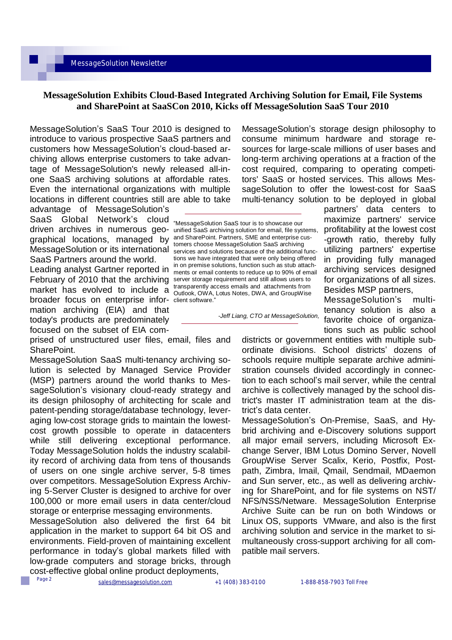#### **MessageSolution Exhibits Cloud-Based Integrated Archiving Solution for Email, File Systems and SharePoint at SaaSCon 2010, Kicks off MessageSolution SaaS Tour 2010**

MessageSolution's SaaS Tour 2010 is designed to introduce to various prospective SaaS partners and customers how MessageSolution's cloud-based archiving allows enterprise customers to take advantage of MessageSolution's newly released all-inone SaaS archiving solutions at affordable rates. Even the international organizations with multiple locations in different countries still are able to take

advantage of MessageSolution's SaaS Global Network's cloud graphical locations, managed by and SharePoint. Partners, SME and enterprise cus-SaaS Partners around the world.

February of 2010 that the archiving server storage requirement and still allows users to market has evolved to include  $\frac{a}{a}$  transparently access emails and attachments from broader focus on enterprise infor- client software." mation archiving (EIA) and that today's products are predominately focused on the subset of EIA com-

prised of unstructured user files, email, files and SharePoint.

MessageSolution SaaS multi-tenancy archiving solution is selected by Managed Service Provider (MSP) partners around the world thanks to MessageSolution's visionary cloud-ready strategy and its design philosophy of architecting for scale and patent-pending storage/database technology, leveraging low-cost storage grids to maintain the lowestcost growth possible to operate in datacenters while still delivering exceptional performance. Today MessageSolution holds the industry scalability record of archiving data from tens of thousands of users on one single archive server, 5-8 times over competitors. MessageSolution Express Archiving 5-Server Cluster is designed to archive for over 100,000 or more email users in data center/cloud storage or enterprise messaging environments.

MessageSolution also delivered the first 64 bit application in the market to support 64 bit OS and environments. Field-proven of maintaining excellent performance in today's global markets filled with low-grade computers and storage bricks, through cost-effective global online product deployments,

MessageSolution's storage design philosophy to consume minimum hardware and storage resources for large-scale millions of user bases and long-term archiving operations at a fraction of the cost required, comparing to operating competitors' SaaS or hosted services. This allows MessageSolution to offer the lowest-cost for SaaS multi-tenancy solution to be deployed in global

driven archives in numerous geo-unified SaaS archiving solution for email, file systems, MessageSolution or its international services and solutions because of the additional func-Leading analyst Gartner reported in in on premise solutions, function such as stub attach-<br>Leading analyst Gartner reported in ments or email contents to reduce up to 90% of email "MessageSolution SaaS tour is to showcase our tomers choose MessageSolution SaaS archiving tions we have integrated that were only being offered ments or email contents to reduce up to 90% of email Outlook, OWA, Lotus Notes, DWA, and GroupWise

partners' data centers to maximize partners' service profitability at the lowest cost -growth ratio, thereby fully utilizing partners' expertise in providing fully managed archiving services designed for organizations of all sizes. Besides MSP partners,

*-Jeff Liang, CTO at MessageSolution,* 

MessageSolution's multitenancy solution is also a favorite choice of organizations such as public school

districts or government entities with multiple subordinate divisions. School districts' dozens of schools require multiple separate archive administration counsels divided accordingly in connection to each school's mail server, while the central archive is collectively managed by the school district's master IT administration team at the district's data center.

MessageSolution's On-Premise, SaaS, and Hybrid archiving and e-Discovery solutions support all major email servers, including Microsoft Exchange Server, IBM Lotus Domino Server, Novell GroupWise Server Scalix, Kerio, Postfix, Postpath, Zimbra, Imail, Qmail, Sendmail, MDaemon and Sun server, etc., as well as delivering archiving for SharePoint, and for file systems on NST/ NFS/NSS/Netware. MessageSolution Enterprise Archive Suite can be run on both Windows or Linux OS, supports VMware, and also is the first archiving solution and service in the market to simultaneously cross-support archiving for all compatible mail servers.

Page 2

[sales@messagesolution.com](mailto:sales@messagesolution.com) +1 (408) 383-0100 1-888-858-7903 Toll Free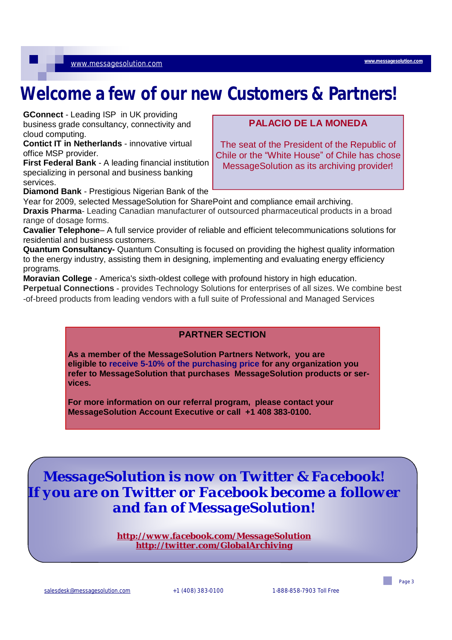# **Welcome a few of our new Customers & Partners!**

**GConnect** - Leading ISP in UK providing business grade consultancy, connectivity and cloud computing.

[www.messagesolution.com](http://www.messagesolution.com)

**Contict IT in Netherlands** - innovative virtual office MSP provider.

**First Federal Bank** - A leading financial institution specializing in personal and business banking services. **Diamond Bank** - Prestigious Nigerian Bank of the

# **PALACIO DE LA MONEDA**

**[www.messagesolution.com](http://www.messagesolution.com)**

The seat of the President of the Republic of Chile or the "White House" of Chile has chose MessageSolution as its archiving provider!

Year for 2009, selected MessageSolution for SharePoint and compliance email archiving. **Draxis Pharma**- Leading Canadian manufacturer of outsourced pharmaceutical products in a broad range of dosage forms.

**Cavalier Telephone**– A full service provider of reliable and efficient telecommunications solutions for residential and business customers.

**Quantum Consultancy-** Quantum Consulting is focused on providing the highest quality information to the energy industry, assisting them in designing, implementing and evaluating energy efficiency programs.

**Moravian College** - America's sixth-oldest college with profound history in high education. **Perpetual Connections -** provides Technology Solutions for enterprises of all sizes. We combine best -of-breed products from leading vendors with a full suite of Professional and Managed Services

## **PARTNER SECTION**

**As a member of the MessageSolution Partners Network, you are eligible to receive 5-10% of the purchasing price for any organization you refer to MessageSolution that purchases MessageSolution products or services.** 

**For more information on our referral program, please contact your MessageSolution Account Executive or call +1 408 383-0100.** 

*MessageSolution is now on Twitter & Facebook! If you are on Twitter or Facebook become a follower and fan of MessageSolution!* 

> *<http://www.facebook.com/MessageSolution> <http://twitter.com/GlobalArchiving>*

Page 3